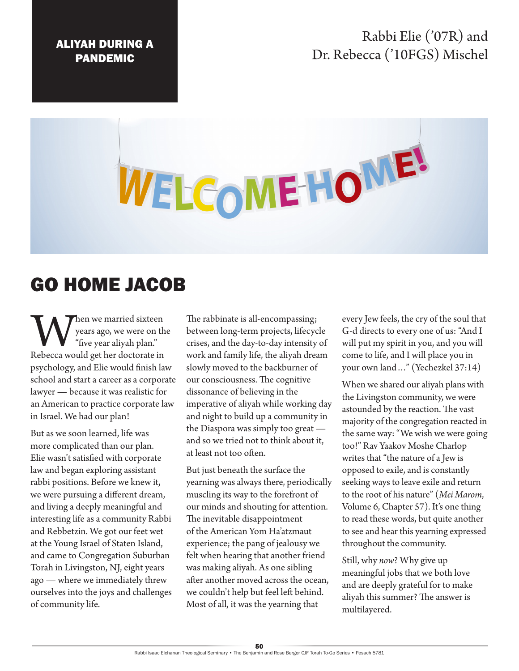## ALIYAH DURING A PANDEMIC

## Rabbi Elie ('07R) and Dr. Rebecca ('10FGS) Mischel

## WELCOME HOME!

## GO HOME JACOB

When we married sixteen<br>
years ago, we were on the "five year aliyah plan."<br>
Rebecca would get her doctorate in years ago, we were on the "five year aliyah plan." psychology, and Elie would finish law school and start a career as a corporate lawyer — because it was realistic for an American to practice corporate law in Israel. We had our plan!

But as we soon learned, life was more complicated than our plan. Elie wasn't satisfied with corporate law and began exploring assistant rabbi positions. Before we knew it, we were pursuing a different dream, and living a deeply meaningful and interesting life as a community Rabbi and Rebbetzin. We got our feet wet at the Young Israel of Staten Island, and came to Congregation Suburban Torah in Livingston, NJ, eight years ago — where we immediately threw ourselves into the joys and challenges of community life.

The rabbinate is all-encompassing; between long-term projects, lifecycle crises, and the day-to-day intensity of work and family life, the aliyah dream slowly moved to the backburner of our consciousness. The cognitive dissonance of believing in the imperative of aliyah while working day and night to build up a community in the Diaspora was simply too great and so we tried not to think about it, at least not too often.

But just beneath the surface the yearning was always there, periodically muscling its way to the forefront of our minds and shouting for attention. The inevitable disappointment of the American Yom Ha'atzmaut experience; the pang of jealousy we felt when hearing that another friend was making aliyah. As one sibling after another moved across the ocean, we couldn't help but feel left behind. Most of all, it was the yearning that

every Jew feels, the cry of the soul that G-d directs to every one of us: "And I will put my spirit in you, and you will come to life, and I will place you in your own land…" (Yechezkel 37:14)

When we shared our aliyah plans with the Livingston community, we were astounded by the reaction. The vast majority of the congregation reacted in the same way: "We wish we were going too!" Rav Yaakov Moshe Charlop writes that "the nature of a Jew is opposed to exile, and is constantly seeking ways to leave exile and return to the root of his nature" (*Mei Marom*, Volume 6, Chapter 57). It's one thing to read these words, but quite another to see and hear this yearning expressed throughout the community.

Still, why *now*? Why give up meaningful jobs that we both love and are deeply grateful for to make aliyah this summer? The answer is multilayered.